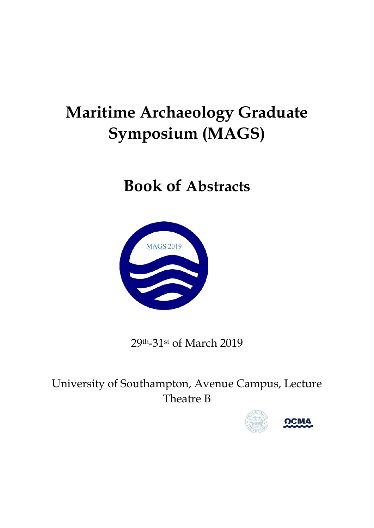# **Maritime Archaeology Graduate Symposium (MAGS)**

# **Book of Abstracts**



29th-31st of March 2019

University of Southampton, Avenue Campus, Lecture Theatre B

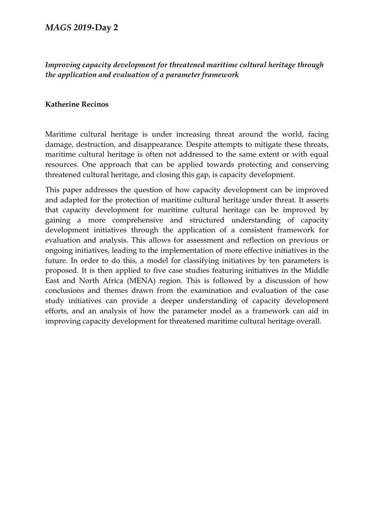# *Improving capacity development for threatened maritime cultural heritage through the application and evaluation of a parameter framework*

#### **Katherine Recinos**

Maritime cultural heritage is under increasing threat around the world, facing damage, destruction, and disappearance. Despite attempts to mitigate these threats, maritime cultural heritage is often not addressed to the same extent or with equal resources. One approach that can be applied towards protecting and conserving threatened cultural heritage, and closing this gap, is capacity development.

This paper addresses the question of how capacity development can be improved and adapted for the protection of maritime cultural heritage under threat. It asserts that capacity development for maritime cultural heritage can be improved by gaining a more comprehensive and structured understanding of capacity development initiatives through the application of a consistent framework for evaluation and analysis. This allows for assessment and reflection on previous or ongoing initiatives, leading to the implementation of more effective initiatives in the future. In order to do this, a model for classifying initiatives by ten parameters is proposed. It is then applied to five case studies featuring initiatives in the Middle East and North Africa (MENA) region. This is followed by a discussion of how conclusions and themes drawn from the examination and evaluation of the case study initiatives can provide a deeper understanding of capacity development efforts, and an analysis of how the parameter model as a framework can aid in improving capacity development for threatened maritime cultural heritage overall.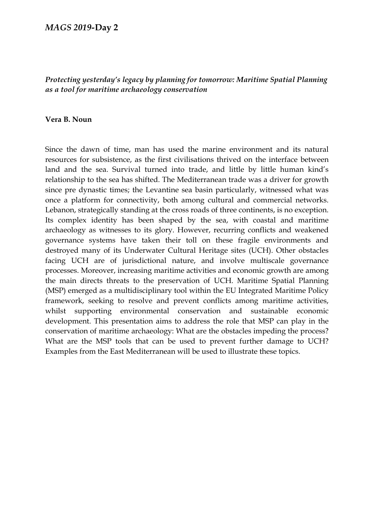## *Protecting yesterday's legacy by planning for tomorrow: Maritime Spatial Planning as a tool for maritime archaeology conservation*

#### **Vera B. Noun**

Since the dawn of time, man has used the marine environment and its natural resources for subsistence, as the first civilisations thrived on the interface between land and the sea. Survival turned into trade, and little by little human kind's relationship to the sea has shifted. The Mediterranean trade was a driver for growth since pre dynastic times; the Levantine sea basin particularly, witnessed what was once a platform for connectivity, both among cultural and commercial networks. Lebanon, strategically standing at the cross roads of three continents, is no exception. Its complex identity has been shaped by the sea, with coastal and maritime archaeology as witnesses to its glory. However, recurring conflicts and weakened governance systems have taken their toll on these fragile environments and destroyed many of its Underwater Cultural Heritage sites (UCH). Other obstacles facing UCH are of jurisdictional nature, and involve multiscale governance processes. Moreover, increasing maritime activities and economic growth are among the main directs threats to the preservation of UCH. Maritime Spatial Planning (MSP) emerged as a multidisciplinary tool within the EU Integrated Maritime Policy framework, seeking to resolve and prevent conflicts among maritime activities, whilst supporting environmental conservation and sustainable economic development. This presentation aims to address the role that MSP can play in the conservation of maritime archaeology: What are the obstacles impeding the process? What are the MSP tools that can be used to prevent further damage to UCH? Examples from the East Mediterranean will be used to illustrate these topics.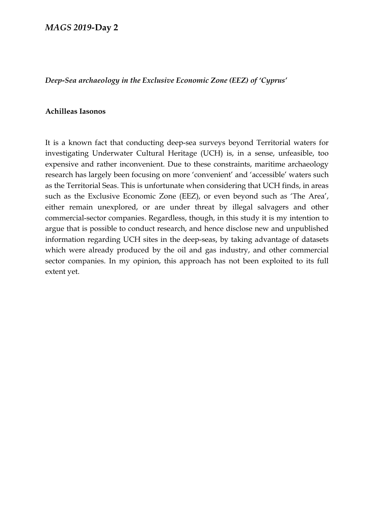*Deep-Sea archaeology in the Exclusive Economic Zone (EEZ) of 'Cyprus'*

#### **Achilleas Iasonos**

It is a known fact that conducting deep-sea surveys beyond Territorial waters for investigating Underwater Cultural Heritage (UCH) is, in a sense, unfeasible, too expensive and rather inconvenient. Due to these constraints, maritime archaeology research has largely been focusing on more 'convenient' and 'accessible' waters such as the Territorial Seas. This is unfortunate when considering that UCH finds, in areas such as the Exclusive Economic Zone (EEZ), or even beyond such as 'The Area', either remain unexplored, or are under threat by illegal salvagers and other commercial-sector companies. Regardless, though, in this study it is my intention to argue that is possible to conduct research, and hence disclose new and unpublished information regarding UCH sites in the deep-seas, by taking advantage of datasets which were already produced by the oil and gas industry, and other commercial sector companies. In my opinion, this approach has not been exploited to its full extent yet.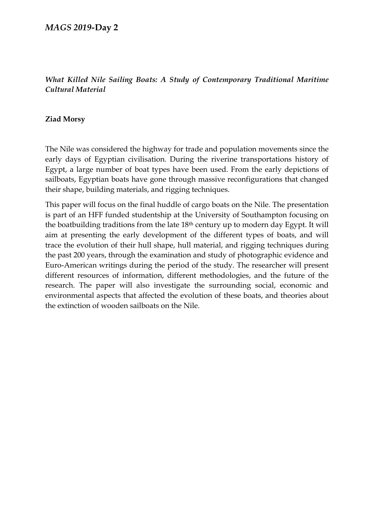# *What Killed Nile Sailing Boats: A Study of Contemporary Traditional Maritime Cultural Material*

## **Ziad Morsy**

The Nile was considered the highway for trade and population movements since the early days of Egyptian civilisation. During the riverine transportations history of Egypt, a large number of boat types have been used. From the early depictions of sailboats, Egyptian boats have gone through massive reconfigurations that changed their shape, building materials, and rigging techniques.

This paper will focus on the final huddle of cargo boats on the Nile. The presentation is part of an HFF funded studentship at the University of Southampton focusing on the boatbuilding traditions from the late 18<sup>th</sup> century up to modern day Egypt. It will aim at presenting the early development of the different types of boats, and will trace the evolution of their hull shape, hull material, and rigging techniques during the past 200 years, through the examination and study of photographic evidence and Euro-American writings during the period of the study. The researcher will present different resources of information, different methodologies, and the future of the research. The paper will also investigate the surrounding social, economic and environmental aspects that affected the evolution of these boats, and theories about the extinction of wooden sailboats on the Nile.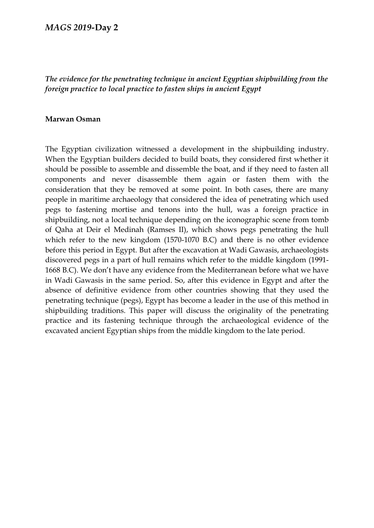# *The evidence for the penetrating technique in ancient Egyptian shipbuilding from the foreign practice to local practice to fasten ships in ancient Egypt*

#### **Marwan Osman**

The Egyptian civilization witnessed a development in the shipbuilding industry. When the Egyptian builders decided to build boats, they considered first whether it should be possible to assemble and dissemble the boat, and if they need to fasten all components and never disassemble them again or fasten them with the consideration that they be removed at some point. In both cases, there are many people in maritime archaeology that considered the idea of penetrating which used pegs to fastening mortise and tenons into the hull, was a foreign practice in shipbuilding, not a local technique depending on the iconographic scene from tomb of Qaha at Deir el Medinah (Ramses II), which shows pegs penetrating the hull which refer to the new kingdom (1570-1070 B.C) and there is no other evidence before this period in Egypt. But after the excavation at Wadi Gawasis, archaeologists discovered pegs in a part of hull remains which refer to the middle kingdom (1991- 1668 B.C). We don't have any evidence from the Mediterranean before what we have in Wadi Gawasis in the same period. So, after this evidence in Egypt and after the absence of definitive evidence from other countries showing that they used the penetrating technique (pegs), Egypt has become a leader in the use of this method in shipbuilding traditions. This paper will discuss the originality of the penetrating practice and its fastening technique through the archaeological evidence of the excavated ancient Egyptian ships from the middle kingdom to the late period.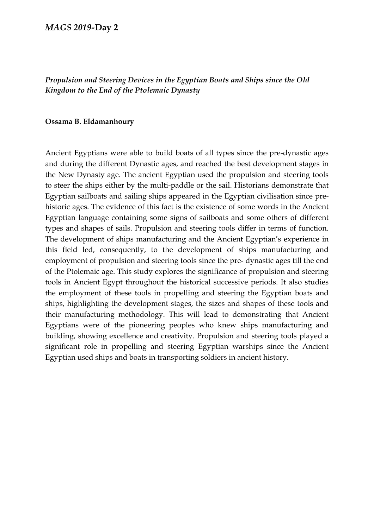# *Propulsion and Steering Devices in the Egyptian Boats and Ships since the Old Kingdom to the End of the Ptolemaic Dynasty*

#### **Ossama B. Eldamanhoury**

Ancient Egyptians were able to build boats of all types since the pre-dynastic ages and during the different Dynastic ages, and reached the best development stages in the New Dynasty age. The ancient Egyptian used the propulsion and steering tools to steer the ships either by the multi-paddle or the sail. Historians demonstrate that Egyptian sailboats and sailing ships appeared in the Egyptian civilisation since prehistoric ages. The evidence of this fact is the existence of some words in the Ancient Egyptian language containing some signs of sailboats and some others of different types and shapes of sails. Propulsion and steering tools differ in terms of function. The development of ships manufacturing and the Ancient Egyptian's experience in this field led, consequently, to the development of ships manufacturing and employment of propulsion and steering tools since the pre- dynastic ages till the end of the Ptolemaic age. This study explores the significance of propulsion and steering tools in Ancient Egypt throughout the historical successive periods. It also studies the employment of these tools in propelling and steering the Egyptian boats and ships, highlighting the development stages, the sizes and shapes of these tools and their manufacturing methodology. This will lead to demonstrating that Ancient Egyptians were of the pioneering peoples who knew ships manufacturing and building, showing excellence and creativity. Propulsion and steering tools played a significant role in propelling and steering Egyptian warships since the Ancient Egyptian used ships and boats in transporting soldiers in ancient history.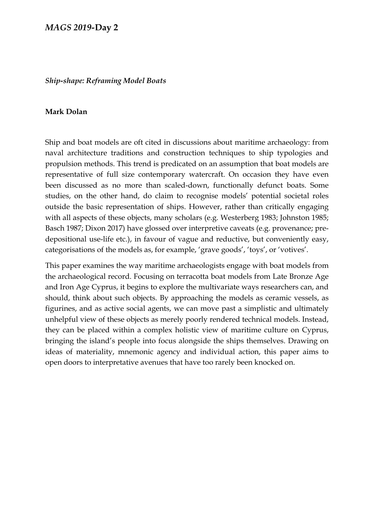#### *Ship-shape: Reframing Model Boats*

#### **Mark Dolan**

Ship and boat models are oft cited in discussions about maritime archaeology: from naval architecture traditions and construction techniques to ship typologies and propulsion methods. This trend is predicated on an assumption that boat models are representative of full size contemporary watercraft. On occasion they have even been discussed as no more than scaled-down, functionally defunct boats. Some studies, on the other hand, do claim to recognise models' potential societal roles outside the basic representation of ships. However, rather than critically engaging with all aspects of these objects, many scholars (e.g. Westerberg 1983; Johnston 1985; Basch 1987; Dixon 2017) have glossed over interpretive caveats (e.g. provenance; predepositional use-life etc.), in favour of vague and reductive, but conveniently easy, categorisations of the models as, for example, 'grave goods', 'toys', or 'votives'.

This paper examines the way maritime archaeologists engage with boat models from the archaeological record. Focusing on terracotta boat models from Late Bronze Age and Iron Age Cyprus, it begins to explore the multivariate ways researchers can, and should, think about such objects. By approaching the models as ceramic vessels, as figurines, and as active social agents, we can move past a simplistic and ultimately unhelpful view of these objects as merely poorly rendered technical models. Instead, they can be placed within a complex holistic view of maritime culture on Cyprus, bringing the island's people into focus alongside the ships themselves. Drawing on ideas of materiality, mnemonic agency and individual action, this paper aims to open doors to interpretative avenues that have too rarely been knocked on.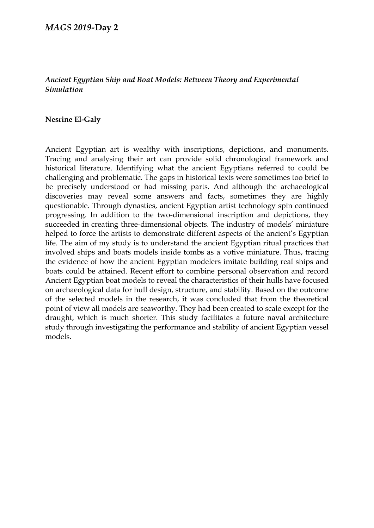## *Ancient Egyptian Ship and Boat Models: Between Theory and Experimental Simulation*

#### **Nesrine El-Galy**

Ancient Egyptian art is wealthy with inscriptions, depictions, and monuments. Tracing and analysing their art can provide solid chronological framework and historical literature. Identifying what the ancient Egyptians referred to could be challenging and problematic. The gaps in historical texts were sometimes too brief to be precisely understood or had missing parts. And although the archaeological discoveries may reveal some answers and facts, sometimes they are highly questionable. Through dynasties, ancient Egyptian artist technology spin continued progressing. In addition to the two-dimensional inscription and depictions, they succeeded in creating three-dimensional objects. The industry of models' miniature helped to force the artists to demonstrate different aspects of the ancient's Egyptian life. The aim of my study is to understand the ancient Egyptian ritual practices that involved ships and boats models inside tombs as a votive miniature. Thus, tracing the evidence of how the ancient Egyptian modelers imitate building real ships and boats could be attained. Recent effort to combine personal observation and record Ancient Egyptian boat models to reveal the characteristics of their hulls have focused on archaeological data for hull design, structure, and stability. Based on the outcome of the selected models in the research, it was concluded that from the theoretical point of view all models are seaworthy. They had been created to scale except for the draught, which is much shorter. This study facilitates a future naval architecture study through investigating the performance and stability of ancient Egyptian vessel models.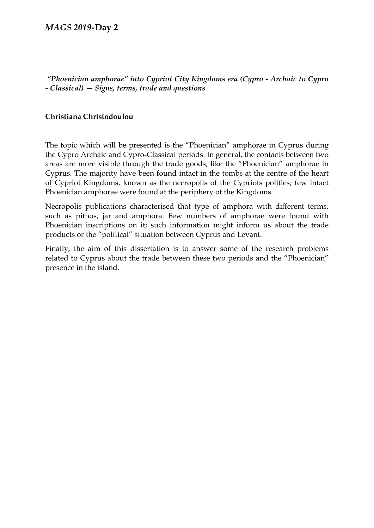*"Phoenician amphorae" into Cypriot City Kingdoms era (Cypro - Archaic to Cypro - Classical) — Signs, terms, trade and questions* 

## **Christiana Christodoulou**

The topic which will be presented is the "Phoenician" amphorae in Cyprus during the Cypro Archaic and Cypro-Classical periods. In general, the contacts between two areas are more visible through the trade goods, like the "Phoenician" amphorae in Cyprus. The majority have been found intact in the tombs at the centre of the heart of Cypriot Kingdoms, known as the necropolis of the Cypriots polities; few intact Phoenician amphorae were found at the periphery of the Kingdoms.

Νecropolis publications characterised that type of amphora with different terms, such as pithos, jar and amphora. Few numbers of amphorae were found with Phoenician inscriptions on it; such information might inform us about the trade products or the "political" situation between Cyprus and Levant.

Finally, the aim of this dissertation is to answer some of the research problems related to Cyprus about the trade between these two periods and the "Phoenician" presence in the island.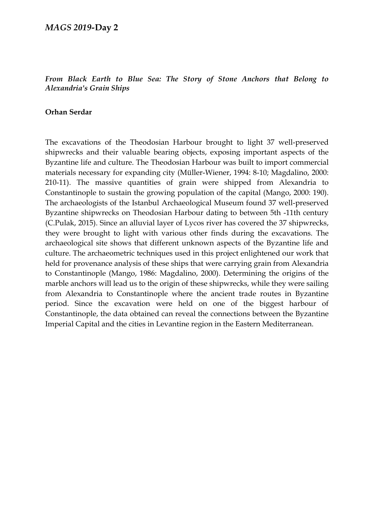## *From Black Earth to Blue Sea: The Story of Stone Anchors that Belong to Alexandria's Grain Ships*

## **Orhan Serdar**

The excavations of the Theodosian Harbour brought to light 37 well-preserved shipwrecks and their valuable bearing objects, exposing important aspects of the Byzantine life and culture. The Theodosian Harbour was built to import commercial materials necessary for expanding city (Müller-Wiener, 1994: 8-10; Magdalino, 2000: 210-11). The massive quantities of grain were shipped from Alexandria to Constantinople to sustain the growing population of the capital (Mango, 2000: 190). The archaeologists of the Istanbul Archaeological Museum found 37 well-preserved Byzantine shipwrecks on Theodosian Harbour dating to between 5th -11th century (C.Pulak, 2015). Since an alluvial layer of Lycos river has covered the 37 shipwrecks, they were brought to light with various other finds during the excavations. The archaeological site shows that different unknown aspects of the Byzantine life and culture. The archaeometric techniques used in this project enlightened our work that held for provenance analysis of these ships that were carrying grain from Alexandria to Constantinople (Mango, 1986: Magdalino, 2000). Determining the origins of the marble anchors will lead us to the origin of these shipwrecks, while they were sailing from Alexandria to Constantinople where the ancient trade routes in Byzantine period. Since the excavation were held on one of the biggest harbour of Constantinople, the data obtained can reveal the connections between the Byzantine Imperial Capital and the cities in Levantine region in the Eastern Mediterranean.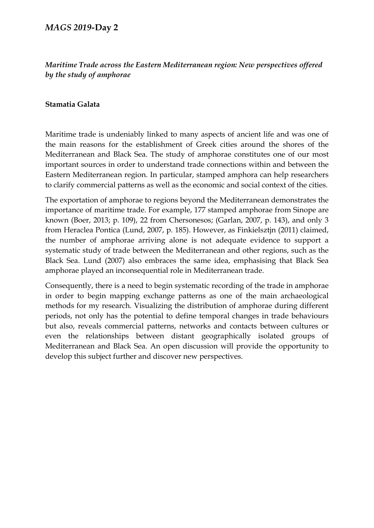# *Maritime Trade across the Eastern Mediterranean region: New perspectives offered by the study of amphorae*

## **Stamatia Galata**

Maritime trade is undeniably linked to many aspects of ancient life and was one of the main reasons for the establishment of Greek cities around the shores of the Mediterranean and Black Sea. The study of amphorae constitutes one of our most important sources in order to understand trade connections within and between the Eastern Mediterranean region. In particular, stamped amphora can help researchers to clarify commercial patterns as well as the economic and social context of the cities.

The exportation of amphorae to regions beyond the Mediterranean demonstrates the importance of maritime trade. For example, 177 stamped amphorae from Sinope are known (Boer, 2013; p. 109), 22 from Chersonesos; (Garlan, 2007, p. 143), and only 3 from Heraclea Pontica (Lund, 2007, p. 185). However, as Finkielsztjn (2011) claimed, the number of amphorae arriving alone is not adequate evidence to support a systematic study of trade between the Mediterranean and other regions, such as the Black Sea. Lund (2007) also embraces the same idea, emphasising that Black Sea amphorae played an inconsequential role in Mediterranean trade.

Consequently, there is a need to begin systematic recording of the trade in amphorae in order to begin mapping exchange patterns as one of the main archaeological methods for my research. Visualizing the distribution of amphorae during different periods, not only has the potential to define temporal changes in trade behaviours but also, reveals commercial patterns, networks and contacts between cultures or even the relationships between distant geographically isolated groups of Mediterranean and Black Sea. An open discussion will provide the opportunity to develop this subject further and discover new perspectives.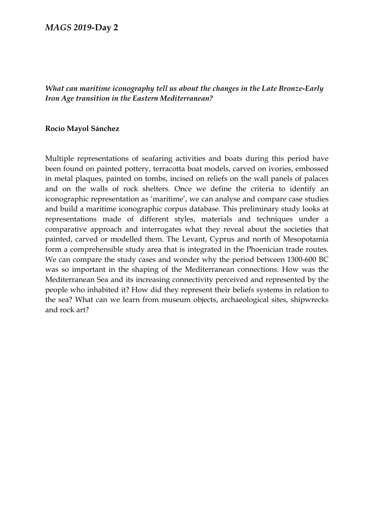*What can maritime iconography tell us about the changes in the Late Bronze-Early Iron Age transition in the Eastern Mediterranean?*

#### **Rocío Mayol Sánchez**

Multiple representations of seafaring activities and boats during this period have been found on painted pottery, terracotta boat models, carved on ivories, embossed in metal plaques, painted on tombs, incised on reliefs on the wall panels of palaces and on the walls of rock shelters. Once we define the criteria to identify an iconographic representation as 'maritime', we can analyse and compare case studies and build a maritime iconographic corpus database. This preliminary study looks at representations made of different styles, materials and techniques under a comparative approach and interrogates what they reveal about the societies that painted, carved or modelled them. The Levant, Cyprus and north of Mesopotamia form a comprehensible study area that is integrated in the Phoenician trade routes. We can compare the study cases and wonder why the period between 1300-600 BC was so important in the shaping of the Mediterranean connections. How was the Mediterranean Sea and its increasing connectivity perceived and represented by the people who inhabited it? How did they represent their beliefs systems in relation to the sea? What can we learn from museum objects, archaeological sites, shipwrecks and rock art?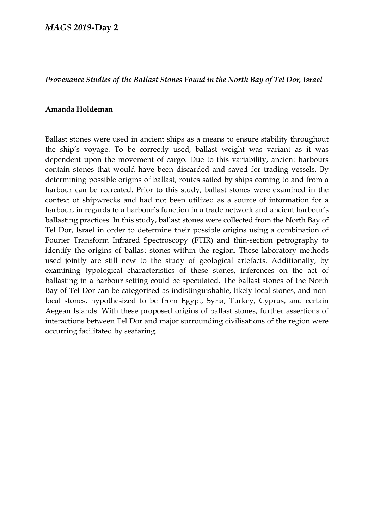## *Provenance Studies of the Ballast Stones Found in the North Bay of Tel Dor, Israel*

#### **Amanda Holdeman**

Ballast stones were used in ancient ships as a means to ensure stability throughout the ship's voyage. To be correctly used, ballast weight was variant as it was dependent upon the movement of cargo. Due to this variability, ancient harbours contain stones that would have been discarded and saved for trading vessels. By determining possible origins of ballast, routes sailed by ships coming to and from a harbour can be recreated. Prior to this study, ballast stones were examined in the context of shipwrecks and had not been utilized as a source of information for a harbour, in regards to a harbour's function in a trade network and ancient harbour's ballasting practices. In this study, ballast stones were collected from the North Bay of Tel Dor, Israel in order to determine their possible origins using a combination of Fourier Transform Infrared Spectroscopy (FTIR) and thin-section petrography to identify the origins of ballast stones within the region. These laboratory methods used jointly are still new to the study of geological artefacts. Additionally, by examining typological characteristics of these stones, inferences on the act of ballasting in a harbour setting could be speculated. The ballast stones of the North Bay of Tel Dor can be categorised as indistinguishable, likely local stones, and nonlocal stones, hypothesized to be from Egypt, Syria, Turkey, Cyprus, and certain Aegean Islands. With these proposed origins of ballast stones, further assertions of interactions between Tel Dor and major surrounding civilisations of the region were occurring facilitated by seafaring.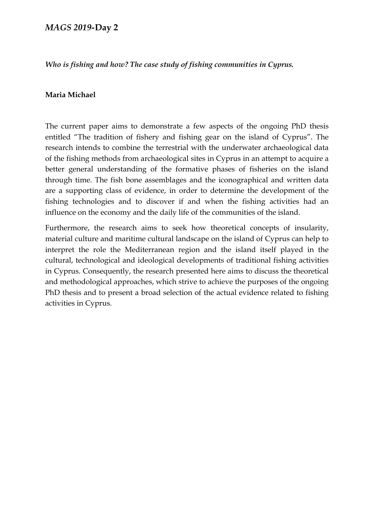*Who is fishing and how? The case study of fishing communities in Cyprus.*

## **Maria Michael**

The current paper aims to demonstrate a few aspects of the ongoing PhD thesis entitled "The tradition of fishery and fishing gear on the island of Cyprus". The research intends to combine the terrestrial with the underwater archaeological data of the fishing methods from archaeological sites in Cyprus in an attempt to acquire a better general understanding of the formative phases of fisheries on the island through time. The fish bone assemblages and the iconographical and written data are a supporting class of evidence, in order to determine the development of the fishing technologies and to discover if and when the fishing activities had an influence on the economy and the daily life of the communities of the island.

Furthermore, the research aims to seek how theoretical concepts of insularity, material culture and maritime cultural landscape on the island of Cyprus can help to interpret the role the Mediterranean region and the island itself played in the cultural, technological and ideological developments of traditional fishing activities in Cyprus. Consequently, the research presented here aims to discuss the theoretical and methodological approaches, which strive to achieve the purposes of the ongoing PhD thesis and to present a broad selection of the actual evidence related to fishing activities in Cyprus.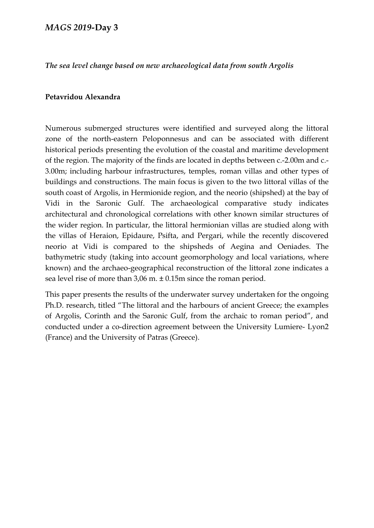*The sea level change based on new archaeological data from south Argolis*

#### **Petavridou Alexandra**

Numerous submerged structures were identified and surveyed along the littoral zone of the north-eastern Peloponnesus and can be associated with different historical periods presenting the evolution of the coastal and maritime development of the region. The majority of the finds are located in depths between c.-2.00m and c.- 3.00m; including harbour infrastructures, temples, roman villas and other types of buildings and constructions. The main focus is given to the two littoral villas of the south coast of Argolis, in Hermionide region, and the neorio (shipshed) at the bay of Vidi in the Saronic Gulf. The archaeological comparative study indicates architectural and chronological correlations with other known similar structures of the wider region. In particular, the littoral hermionian villas are studied along with the villas of Heraion, Epidaure, Psifta, and Pergari, while the recently discovered neorio at Vidi is compared to the shipsheds of Aegina and Oeniades. The bathymetric study (taking into account geomorphology and local variations, where known) and the archaeo-geographical reconstruction of the littoral zone indicates a sea level rise of more than 3,06 m. ± 0.15m since the roman period.

This paper presents the results of the underwater survey undertaken for the ongoing Ph.D. research, titled "The littoral and the harbours of ancient Greece; the examples of Argolis, Corinth and the Saronic Gulf, from the archaic to roman period", and conducted under a co-direction agreement between the University Lumiere- Lyon2 (France) and the University of Patras (Greece).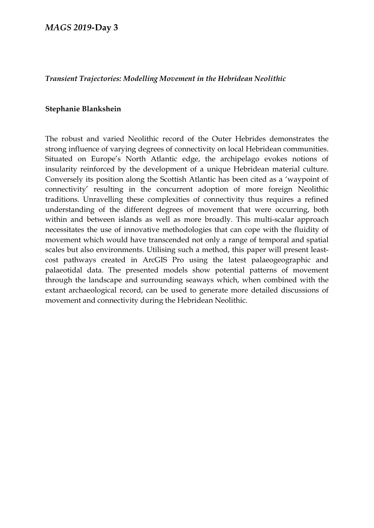#### *Transient Trajectories: Modelling Movement in the Hebridean Neolithic*

#### **Stephanie Blankshein**

The robust and varied Neolithic record of the Outer Hebrides demonstrates the strong influence of varying degrees of connectivity on local Hebridean communities. Situated on Europe's North Atlantic edge, the archipelago evokes notions of insularity reinforced by the development of a unique Hebridean material culture. Conversely its position along the Scottish Atlantic has been cited as a 'waypoint of connectivity' resulting in the concurrent adoption of more foreign Neolithic traditions. Unravelling these complexities of connectivity thus requires a refined understanding of the different degrees of movement that were occurring, both within and between islands as well as more broadly. This multi-scalar approach necessitates the use of innovative methodologies that can cope with the fluidity of movement which would have transcended not only a range of temporal and spatial scales but also environments. Utilising such a method, this paper will present leastcost pathways created in ArcGIS Pro using the latest palaeogeographic and palaeotidal data. The presented models show potential patterns of movement through the landscape and surrounding seaways which, when combined with the extant archaeological record, can be used to generate more detailed discussions of movement and connectivity during the Hebridean Neolithic.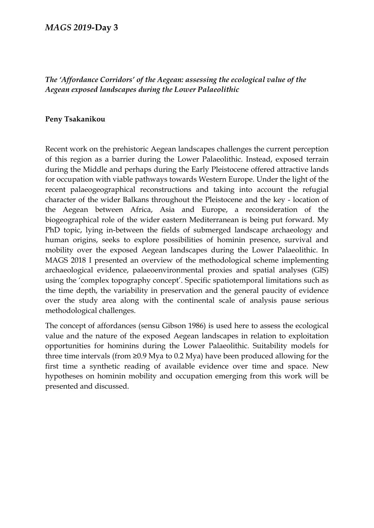# *The 'Affordance Corridors' of the Aegean: assessing the ecological value of the Aegean exposed landscapes during the Lower Palaeolithic*

#### **Peny Tsakanikou**

Recent work on the prehistoric Aegean landscapes challenges the current perception of this region as a barrier during the Lower Palaeolithic. Instead, exposed terrain during the Middle and perhaps during the Early Pleistocene offered attractive lands for occupation with viable pathways towards Western Europe. Under the light of the recent palaeogeographical reconstructions and taking into account the refugial character of the wider Balkans throughout the Pleistocene and the key - location of the Aegean between Africa, Asia and Europe, a reconsideration of the biogeographical role of the wider eastern Mediterranean is being put forward. My PhD topic, lying in-between the fields of submerged landscape archaeology and human origins, seeks to explore possibilities of hominin presence, survival and mobility over the exposed Aegean landscapes during the Lower Palaeolithic. In MAGS 2018 I presented an overview of the methodological scheme implementing archaeological evidence, palaeoenvironmental proxies and spatial analyses (GIS) using the 'complex topography concept'. Specific spatiotemporal limitations such as the time depth, the variability in preservation and the general paucity of evidence over the study area along with the continental scale of analysis pause serious methodological challenges.

The concept of affordances (sensu Gibson 1986) is used here to assess the ecological value and the nature of the exposed Aegean landscapes in relation to exploitation opportunities for hominins during the Lower Palaeolithic. Suitability models for three time intervals (from ≥0.9 Mya to 0.2 Mya) have been produced allowing for the first time a synthetic reading of available evidence over time and space. New hypotheses on hominin mobility and occupation emerging from this work will be presented and discussed.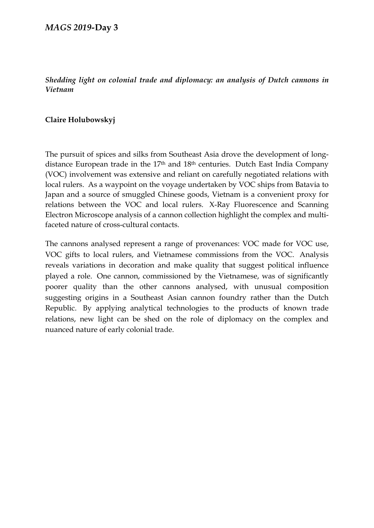# *Shedding light on colonial trade and diplomacy: an analysis of Dutch cannons in Vietnam*

# **Claire Holubowskyj**

The pursuit of spices and silks from Southeast Asia drove the development of longdistance European trade in the 17<sup>th</sup> and 18<sup>th</sup> centuries. Dutch East India Company (VOC) involvement was extensive and reliant on carefully negotiated relations with local rulers. As a waypoint on the voyage undertaken by VOC ships from Batavia to Japan and a source of smuggled Chinese goods, Vietnam is a convenient proxy for relations between the VOC and local rulers. X-Ray Fluorescence and Scanning Electron Microscope analysis of a cannon collection highlight the complex and multifaceted nature of cross-cultural contacts.

The cannons analysed represent a range of provenances: VOC made for VOC use, VOC gifts to local rulers, and Vietnamese commissions from the VOC. Analysis reveals variations in decoration and make quality that suggest political influence played a role. One cannon, commissioned by the Vietnamese, was of significantly poorer quality than the other cannons analysed, with unusual composition suggesting origins in a Southeast Asian cannon foundry rather than the Dutch Republic. By applying analytical technologies to the products of known trade relations, new light can be shed on the role of diplomacy on the complex and nuanced nature of early colonial trade.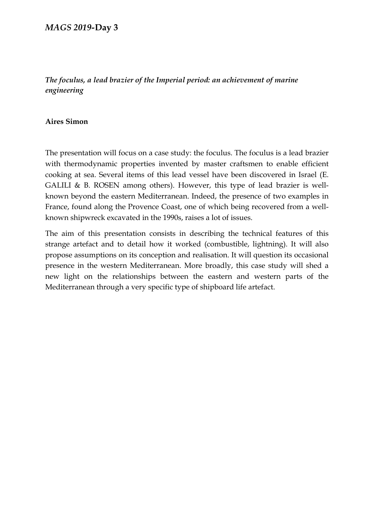# *The foculus, a lead brazier of the Imperial period: an achievement of marine engineering*

# **Aires Simon**

The presentation will focus on a case study: the foculus. The foculus is a lead brazier with thermodynamic properties invented by master craftsmen to enable efficient cooking at sea. Several items of this lead vessel have been discovered in Israel (E. GALILI & B. ROSEN among others). However, this type of lead brazier is wellknown beyond the eastern Mediterranean. Indeed, the presence of two examples in France, found along the Provence Coast, one of which being recovered from a wellknown shipwreck excavated in the 1990s, raises a lot of issues.

The aim of this presentation consists in describing the technical features of this strange artefact and to detail how it worked (combustible, lightning). It will also propose assumptions on its conception and realisation. It will question its occasional presence in the western Mediterranean. More broadly, this case study will shed a new light on the relationships between the eastern and western parts of the Mediterranean through a very specific type of shipboard life artefact.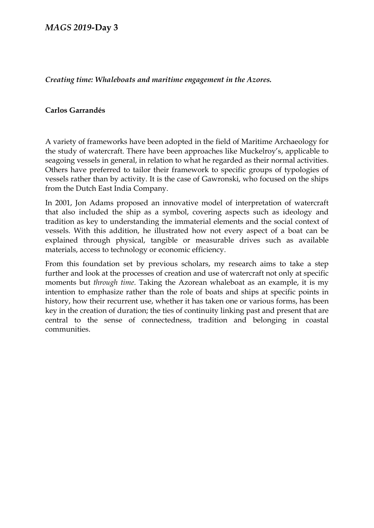*Creating time: Whaleboats and maritime engagement in the Azores.*

## **Carlos Garrandés**

A variety of frameworks have been adopted in the field of Maritime Archaeology for the study of watercraft. There have been approaches like Muckelroy's, applicable to seagoing vessels in general, in relation to what he regarded as their normal activities. Others have preferred to tailor their framework to specific groups of typologies of vessels rather than by activity. It is the case of Gawronski, who focused on the ships from the Dutch East India Company.

In 2001, Jon Adams proposed an innovative model of interpretation of watercraft that also included the ship as a symbol, covering aspects such as ideology and tradition as key to understanding the immaterial elements and the social context of vessels. With this addition, he illustrated how not every aspect of a boat can be explained through physical, tangible or measurable drives such as available materials, access to technology or economic efficiency.

From this foundation set by previous scholars, my research aims to take a step further and look at the processes of creation and use of watercraft not only at specific moments but *through time*. Taking the Azorean whaleboat as an example, it is my intention to emphasize rather than the role of boats and ships at specific points in history, how their recurrent use, whether it has taken one or various forms, has been key in the creation of duration; the ties of continuity linking past and present that are central to the sense of connectedness, tradition and belonging in coastal communities.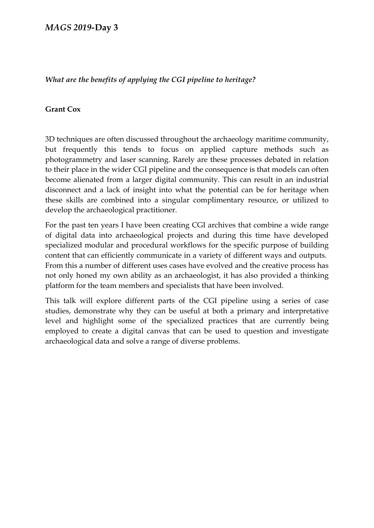# *What are the benefits of applying the CGI pipeline to heritage?*

# **Grant Cox**

3D techniques are often discussed throughout the archaeology maritime community, but frequently this tends to focus on applied capture methods such as photogrammetry and laser scanning. Rarely are these processes debated in relation to their place in the wider CGI pipeline and the consequence is that models can often become alienated from a larger digital community. This can result in an industrial disconnect and a lack of insight into what the potential can be for heritage when these skills are combined into a singular complimentary resource, or utilized to develop the archaeological practitioner.

For the past ten years I have been creating CGI archives that combine a wide range of digital data into archaeological projects and during this time have developed specialized modular and procedural workflows for the specific purpose of building content that can efficiently communicate in a variety of different ways and outputs. From this a number of different uses cases have evolved and the creative process has not only honed my own ability as an archaeologist, it has also provided a thinking platform for the team members and specialists that have been involved.

This talk will explore different parts of the CGI pipeline using a series of case studies, demonstrate why they can be useful at both a primary and interpretative level and highlight some of the specialized practices that are currently being employed to create a digital canvas that can be used to question and investigate archaeological data and solve a range of diverse problems.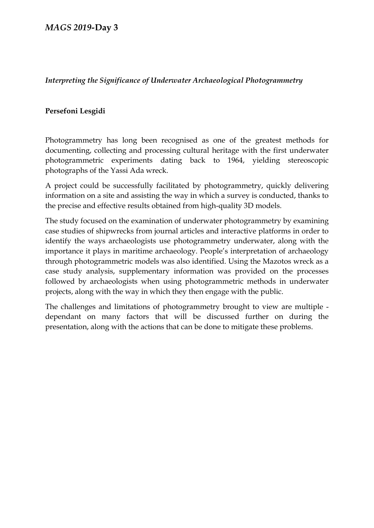# *Interpreting the Significance of Underwater Archaeological Photogrammetry*

# **Persefoni Lesgidi**

Photogrammetry has long been recognised as one of the greatest methods for documenting, collecting and processing cultural heritage with the first underwater photogrammetric experiments dating back to 1964, yielding stereoscopic photographs of the Yassi Ada wreck.

A project could be successfully facilitated by photogrammetry, quickly delivering information on a site and assisting the way in which a survey is conducted, thanks to the precise and effective results obtained from high-quality 3D models.

The study focused on the examination of underwater photogrammetry by examining case studies of shipwrecks from journal articles and interactive platforms in order to identify the ways archaeologists use photogrammetry underwater, along with the importance it plays in maritime archaeology. People's interpretation of archaeology through photogrammetric models was also identified. Using the Mazotos wreck as a case study analysis, supplementary information was provided on the processes followed by archaeologists when using photogrammetric methods in underwater projects, along with the way in which they then engage with the public.

The challenges and limitations of photogrammetry brought to view are multiple dependant on many factors that will be discussed further on during the presentation, along with the actions that can be done to mitigate these problems.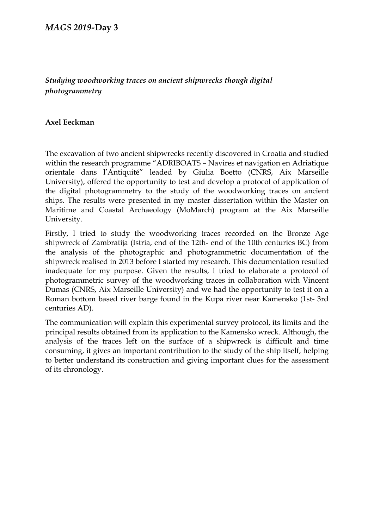# *Studying woodworking traces on ancient shipwrecks though digital photogrammetry*

## **Axel Eeckman**

The excavation of two ancient shipwrecks recently discovered in Croatia and studied within the research programme "ADRIBOATS – Navires et navigation en Adriatique orientale dans l'Antiquité" leaded by Giulia Boetto (CNRS, Aix Marseille University), offered the opportunity to test and develop a protocol of application of the digital photogrammetry to the study of the woodworking traces on ancient ships. The results were presented in my master dissertation within the Master on Maritime and Coastal Archaeology (MoMarch) program at the Aix Marseille University.

Firstly, I tried to study the woodworking traces recorded on the Bronze Age shipwreck of Zambratija (Istria, end of the 12th- end of the 10th centuries BC) from the analysis of the photographic and photogrammetric documentation of the shipwreck realised in 2013 before I started my research. This documentation resulted inadequate for my purpose. Given the results, I tried to elaborate a protocol of photogrammetric survey of the woodworking traces in collaboration with Vincent Dumas (CNRS, Aix Marseille University) and we had the opportunity to test it on a Roman bottom based river barge found in the Kupa river near Kamensko (1st- 3rd centuries AD).

The communication will explain this experimental survey protocol, its limits and the principal results obtained from its application to the Kamensko wreck. Although, the analysis of the traces left on the surface of a shipwreck is difficult and time consuming, it gives an important contribution to the study of the ship itself, helping to better understand its construction and giving important clues for the assessment of its chronology.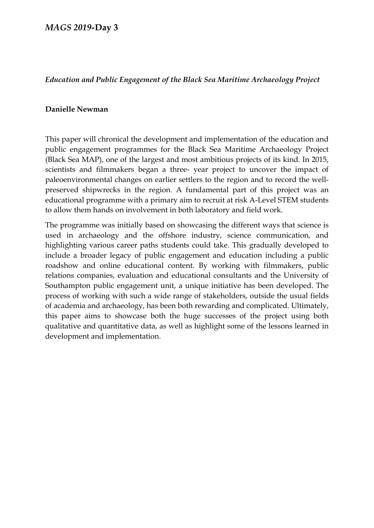# *Education and Public Engagement of the Black Sea Maritime Archaeology Project*

# **Danielle Newman**

This paper will chronical the development and implementation of the education and public engagement programmes for the Black Sea Maritime Archaeology Project (Black Sea MAP), one of the largest and most ambitious projects of its kind. In 2015, scientists and filmmakers began a three- year project to uncover the impact of paleoenvironmental changes on earlier settlers to the region and to record the wellpreserved shipwrecks in the region. A fundamental part of this project was an educational programme with a primary aim to recruit at risk A-Level STEM students to allow them hands on involvement in both laboratory and field work.

The programme was initially based on showcasing the different ways that science is used in archaeology and the offshore industry, science communication, and highlighting various career paths students could take. This gradually developed to include a broader legacy of public engagement and education including a public roadshow and online educational content. By working with filmmakers, public relations companies, evaluation and educational consultants and the University of Southampton public engagement unit, a unique initiative has been developed. The process of working with such a wide range of stakeholders, outside the usual fields of academia and archaeology, has been both rewarding and complicated. Ultimately, this paper aims to showcase both the huge successes of the project using both qualitative and quantitative data, as well as highlight some of the lessons learned in development and implementation.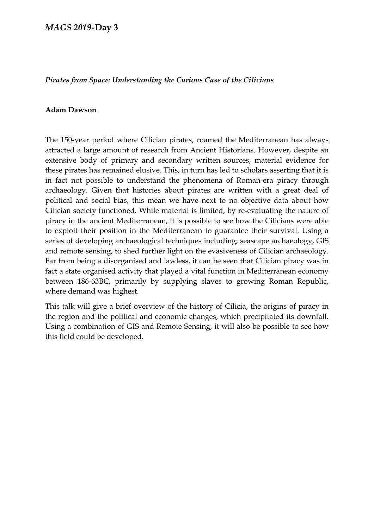## *Pirates from Space: Understanding the Curious Case of the Cilicians*

#### **Adam Dawson**

The 150-year period where Cilician pirates, roamed the Mediterranean has always attracted a large amount of research from Ancient Historians. However, despite an extensive body of primary and secondary written sources, material evidence for these pirates has remained elusive. This, in turn has led to scholars asserting that it is in fact not possible to understand the phenomena of Roman-era piracy through archaeology. Given that histories about pirates are written with a great deal of political and social bias, this mean we have next to no objective data about how Cilician society functioned. While material is limited, by re-evaluating the nature of piracy in the ancient Mediterranean, it is possible to see how the Cilicians were able to exploit their position in the Mediterranean to guarantee their survival. Using a series of developing archaeological techniques including; seascape archaeology, GIS and remote sensing, to shed further light on the evasiveness of Cilician archaeology. Far from being a disorganised and lawless, it can be seen that Cilician piracy was in fact a state organised activity that played a vital function in Mediterranean economy between 186-63BC, primarily by supplying slaves to growing Roman Republic, where demand was highest.

This talk will give a brief overview of the history of Cilicia, the origins of piracy in the region and the political and economic changes, which precipitated its downfall. Using a combination of GIS and Remote Sensing, it will also be possible to see how this field could be developed.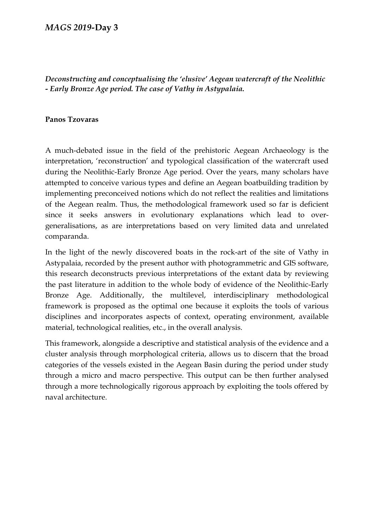*Deconstructing and conceptualising the 'elusive' Aegean watercraft of the Neolithic - Early Bronze Age period. The case of Vathy in Astypalaia.*

#### **Panos Tzovaras**

A much-debated issue in the field of the prehistoric Aegean Archaeology is the interpretation, 'reconstruction' and typological classification of the watercraft used during the Neolithic-Early Bronze Age period. Over the years, many scholars have attempted to conceive various types and define an Aegean boatbuilding tradition by implementing preconceived notions which do not reflect the realities and limitations of the Aegean realm. Thus, the methodological framework used so far is deficient since it seeks answers in evolutionary explanations which lead to overgeneralisations, as are interpretations based on very limited data and unrelated comparanda.

In the light of the newly discovered boats in the rock-art of the site of Vathy in Astypalaia, recorded by the present author with photogrammetric and GIS software, this research deconstructs previous interpretations of the extant data by reviewing the past literature in addition to the whole body of evidence of the Neolithic-Early Bronze Age. Additionally, the multilevel, interdisciplinary methodological framework is proposed as the optimal one because it exploits the tools of various disciplines and incorporates aspects of context, operating environment, available material, technological realities, etc., in the overall analysis.

This framework, alongside a descriptive and statistical analysis of the evidence and a cluster analysis through morphological criteria, allows us to discern that the broad categories of the vessels existed in the Aegean Basin during the period under study through a micro and macro perspective. This output can be then further analysed through a more technologically rigorous approach by exploiting the tools offered by naval architecture.